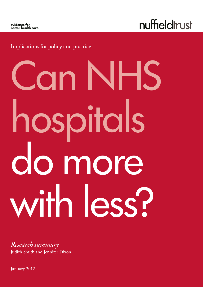evidence for<br>better health care

nuffieldtrust

Implications for policy and practice

# Can NHS hospitals do more with less?

*Research summary* Judith Smith and Jennifer Dixon

January 2012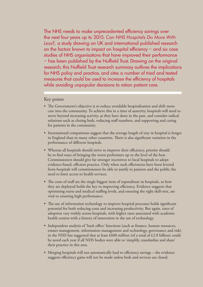The NHS needs to make unprecedented efficiency savings over the next four years up to 2015. *Can NHS Hospitals Do More With Less?,* a study drawing on UK and international published research on the factors known to impact on hospital efficiency – and six case studies of NHS organisations that have improved their performance – has been published by the Nuffield Trust. Drawing on the original research, this Nuffield Trust research summary outlines the implications for NHS policy and practice, and cites a number of tried and tested measures that could be used to increase the efficiency of hospitals while avoiding unpopular decisions to ration patient care.

## Key points

- The Government's objective is to reduce avoidable hospitalisation and shift more care into the community. To achieve this in a time of austerity, hospitals will need to move beyond increasing activity, as they have done in the past, and consider radical solutions such as closing beds, reducing staff numbers, and supporting and caring for patients in the community.
- International comparisons suggest that the average length of stay in hospital is longer in England than in many other countries. There is also significant variation in the performance of different hospitals.
- Whereas all hospitals should strive to improve their efficiency, priority should be to find ways of bringing the worst performers up to the level of the best. Commissioners should give far stronger incentives to local hospitals to adopt evidence-based, efficient practice. Only when such efficiencies have been levered from hospitals will commissioners be able to justify to patients and the public the need to limit access to health services.
- The costs of staff are the single biggest item of expenditure in hospitals, so how they are deployed holds the key to improving efficiency. Evidence suggests that optimising nurse and medical staffing levels, and ensuring the right skill-mix, are vital to ensuring high performance.
- The use of information technology to improve hospital processes holds significant potential for both reducing costs and increasing productivity. But again, rates of adoption vary widely across hospitals, with higher rates associated with academic health centres with a history of innovation in the use of technology.
- Independent analysis of 'back office' functions (such as finance, human resources, estates management, information management and technology, governance and risk) in the NHS has suggested that at least  $£600$  million (of a total of  $£2.8$  billion) could be saved each year if all NHS bodies were able to 'simplify, standardise and share' their practice in this area.
- Merging hospitals will not automatically lead to efficiency savings the evidence suggests efficiency gains will not be made unless beds and services are closed.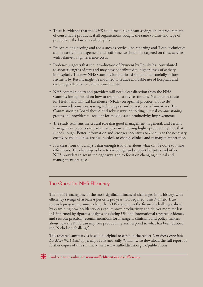- There is evidence that the NHS could make significant savings on its procurement of consumable products, if all organisations bought the same volume and type of products at the lowest available price.
- Process re-engineering and tools such as service-line reporting and 'Lean' techniques can be costly in management and staff time, so should be targeted on those services with relatively high reference costs.
- Evidence suggests that the introduction of Payment by Results has contributed to shorter lengths of stay and may have contributed to higher levels of activity in hospitals. The new NHS Commissioning Board should look carefully at how Payment by Results might be modified to reduce avoidable use of hospitals and encourage effective care in the community.
- NHS commissioners and providers will need clear direction from the NHS Commissioning Board on how to respond to advice from the National Institute for Health and Clinical Excellence (NICE) on optimal practice, 'not to do' recommendations, cost-saving technologies, and 'invest to save' initiatives. The Commissioning Board should find robust ways of holding clinical commissioning groups and providers to account for making such productivity improvements.
- The study reaffirms the crucial role that good management in general, and certain management practices in particular, play in achieving higher productivity. But that is not enough. Better information and stronger incentives to encourage the necessary creativity and boldness are also needed, to change clinical and management practice.
- It is clear from this analysis that enough is known about what can be done to make efficiencies. The challenge is how to encourage and support hospitals and other NHS providers to act in the right way, and to focus on changing clinical and management practice.

# The Quest for NHS Efficiency

The NHS is facing one of the most significant financial challenges in its history, with efficiency savings of at least 4 per cent per year now required. This Nuffield Trust research programme aims to help the NHS respond to the financial challenges ahead by examining how health services can improve productivity and deliver more for less. It is informed by rigorous analysis of existing UK and international research evidence, and sets out practical recommendations for managers, clinicians and policy-makers about how the NHS can improve productivity and respond to what has been dubbed the 'Nicholson challenge'.

This research summary is based on original research in the report *Can NHS Hospitals Do More With Less?* by Jeremy Hurst and Sally Williams. To download the full report or further copies of this summary, visit www.nuffieldtrust.org.uk/publications

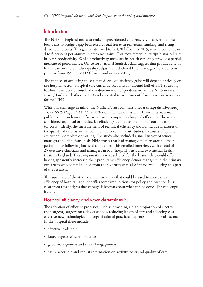# Introduction

The NHS in England needs to make unprecedented efficiency savings over the next four years to bridge a gap between a virtual freeze in real-terms funding, and rising demand and costs. This gap is estimated to be £20 billion to 2015, which would mean 4 to 5 per cent per annum in efficiency gains. This requirement outstrips historical rises in NHS productivity. While productivity measures in health care only provide a partial measure of performance, Office for National Statistics data suggest that productivity in health care in the UK after quality adjustment declined by an average of 0.2 per cent per year from 1996 to 2009 (Hardie and others, 2011).

The chances of achieving the estimated level of efficiency gains will depend critically on the hospital sector. Hospital care currently accounts for around half of PCT spending, has been the locus of much of the deterioration of productivity in the NHS in recent years (Hardie and others, 2011) and is central to government plans to release resources for the NHS.

With this challenge in mind, the Nuffield Trust commissioned a comprehensive study – *Can NHS Hospitals Do More With Less?* – which draws on UK and international published research on the factors known to impact on hospital efficiency. The study considered technical or productive efficiency, defined as the ratio of outputs to inputs (or costs). Ideally, the measurement of technical efficiency should include measures of the quality of care, as well as volume. However, in most studies, measures of quality are either incomplete or missing. The study also included a small survey of senior managers and clinicians in six NHS trusts that had managed to 'turn around' their performance following financial difficulties. This entailed interviews with a total of 25 executive clinicians and managers in four hospital trusts and two mental health trusts in England. These organisations were selected for the lessons they could offer, having apparently increased their productive efficiency. Senior managers in the primary care trusts who commissioned from the six trusts were also interviewed during this part of the research.

This summary of the study outlines measures that could be used to increase the efficiency of hospitals and identifies some implications for policy and practice. It is clear from this analysis that enough is known about what can be done. The challenge is how.

# Hospital efficiency and what determines it

The adoption of efficient processes, such as providing a high proportion of elective (non-urgent) surgery on a day case basis, reducing length of stay and adopting costeffective new technologies and organisational practices, depends on a range of factors. In the hospital these include:

- effective leadership
- knowledge of efficient practices
- good management and clinical engagement
- easily accessible and robust information on activity, costs and quality of care.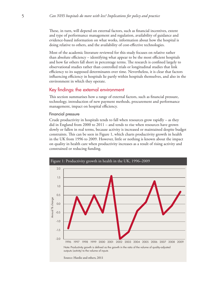These, in turn, will depend on external factors, such as financial incentives, extent and type of performance management and regulation, availability of guidance and evidence-based information on what works, information about how the hospital is doing relative to others, and the availability of cost-effective technologies.

Most of the academic literature reviewed for this study focuses on relative rather than absolute efficiency – identifying what appear to be the most efficient hospitals and how far others fall short in percentage terms. The research is confined largely to observational studies rather than controlled trials or longitudinal studies that link efficiency to its supposed determinants over time. Nevertheless, it is clear that factors influencing efficiency in hospitals lie partly within hospitals themselves, and also in the environment in which they operate.

# Key findings: the external environment

This section summarises how a range of external factors, such as financial pressure, technology, introduction of new payment methods, procurement and performance management, impact on hospital efficiency.

## Financial pressure

Crude productivity in hospitals tends to fall when resources grow rapidly – as they did in England from 2000 to 2011 – and tends to rise when resources have grown slowly or fallen in real terms, because activity is increased or maintained despite budget constraints. This can be seen in Figure 1, which charts productivity growth in health in the UK from 1996 to 2009. However, little or nothing is known about the impact on quality in health care when productivity increases as a result of rising activity and constrained or reducing funding.

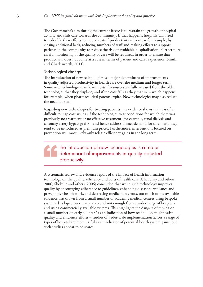The Government's aim during the current freeze is to restrain the growth of hospital activity and shift care towards the community. If that happens, hospitals will need to redouble their efforts to reduce costs if productivity is to rise – for example, by closing additional beds, reducing numbers of staff and making efforts to support patients in the community to reduce the risk of avoidable hospitalisation. Furthermore, careful monitoring of the quality of care will be required, in order to ensure that productivity does not come at a cost in terms of patient and carer experience (Smith and Charlesworth, 2011).

## Technological change

The introduction of new technologies is a major determinant of improvements in quality-adjusted productivity in health care over the medium and longer term. Some new technologies can lower costs if resources are fully released from the older technologies that they displace, and if the cost falls as they mature – which happens, for example, when pharmaceutical patents expire. New technologies may also reduce the need for staff.

Regarding new technologies for treating patients, the evidence shows that it is often difficult to reap cost savings if the technologies treat conditions for which there was previously no treatment or no effective treatment (for example, renal dialysis and coronary artery bypass graft) – and hence address unmet demand for care – and they tend to be introduced at premium prices. Furthermore, interventions focused on prevention will most likely only release efficiency gains in the long term.

# the introduction of new technologies is a major determinant of improvements in quality-adjusted productivity

A systematic review and evidence report of the impact of health information technology on the quality, efficiency and costs of health care (Chaudhry and others, 2006; Shekelle and others, 2006) concluded that while such technology improves quality by encouraging adherence to guidelines, enhancing disease surveillance and preventative health work, and decreasing medication errors, too much of the available evidence was drawn from a small number of academic medical centres using bespoke systems developed over many years and not enough from a wider range of hospitals and using commercially available systems. This highlights the dangers of relying on a small number of 'early adopters' as an indication of how technology might assist quality and efficiency efforts – studies of wider-scale implementation across a range of types of hospital are more useful as an indicator of potential health system gains, but such studies appear to be scarce.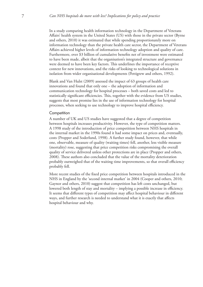In a study comparing health information technology in the Department of Veterans Affairs' health system in the United States (US) with those in the private sector (Byrne and others, 2010) it was estimated that while spending proportionately more on information technology than the private health care sector, the Department of Veterans Affairs achieved higher levels of information technology adoption and quality of care. Furthermore, over \$3 billion of cumulative benefits net of investment were estimated to have been made, albeit that the organisation's integrated structure and governance were deemed to have been key factors. This underlines the importance of receptive context for new innovations, and the risks of looking to technological solutions in isolation from wider organisational developments (Pettigrew and others, 1992).

Blank and Van Hulst (2009) assessed the impact of 63 groups of health care innovations and found that only one – the adoption of information and communication technology for hospital processes – both saved costs and led to statistically significant efficiencies. This, together with the evidence from US studies, suggests that most promise lies in the use of information technology for hospital processes, when seeking to use technology to improve hospital efficiency.

#### **Competition**

A number of UK and US studies have suggested that a degree of competition between hospitals increases productivity. However, the type of competition matters. A 1998 study of the introduction of price competition between NHS hospitals in the internal market in the 1990s found it had some impact on prices and, eventually, costs (Propper and Soderlund, 1998). A further study found, however, that while one, observable, measure of quality (waiting times) fell, another, less visible measure (mortality) rose, suggesting that price competition risks compromising the overall quality of service delivered unless other protections are in place (Propper and others, 2008). These authors also concluded that the value of the mortality deterioration probably outweighed that of the waiting time improvements, so that overall efficiency probably fell.

More recent studies of the fixed price competition between hospitals introduced in the NHS in England by the 'second internal market' in 2004 (Cooper and others, 2010; Gaynor and others, 2010) suggest that competition has left costs unchanged, but lowered both length of stay and mortality – implying a possible increase in efficiency. It seems that different types of competition may affect hospital behaviour in different ways, and further research is needed to understand what it is exactly that affects hospital behaviour and why.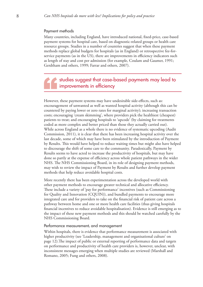#### Payment methods

Many countries, including England, have introduced national, fixed-price, case-based payment systems for hospital care, based on diagnostic-related groups or health care resource groups. Studies in a number of countries suggest that when these payment methods replace global budgets for hospitals (as in England) or retrospective fee-forservice payments (as in the US), there are improvements in efficiency indicators such as length of stay and cost per admission (for example, Coulam and Gaumer, 1991; Gerdtham and others, 1999; Farrar and others, 2007).

# studies suggest that case-based payments may lead to improvements in efficiency

However, these payment systems may have undesirable side-effects, such as: encouragement of unwanted as well as wanted hospital activity (although this can be countered by paying lower or zero rates for marginal activity); increasing transaction costs; encouraging 'cream skimming', where providers pick the healthiest (cheapest) patients to treat; and encouraging hospitals to 'upcode' (by claiming for treatments coded as more complex and better priced than those they actually carried out). While across England as a whole there is no evidence of systematic upcoding (Audit Commission, 2011), it is clear that there has been increasing hospital activity over the last decade, some of which may have been stimulated by the introduction of Payment by Results. This would have helped to reduce waiting times but might also have helped to discourage the shift of some care to the community. Paradoxically, Payment by Results seems to have acted to increase the productivity of hospitals, but may have done so partly at the expense of efficiency across whole patient pathways in the wider NHS. The NHS Commissioning Board, in its role of designing payment methods, may wish to review the impact of Payment by Results and further develop payment methods that help reduce avoidable hospital costs.

More recently there has been experimentation across the developed world with other payment methods to encourage greater technical and allocative efficiency. These include a variety of 'pay for performance' incentives (such as Commissioning for Quality and Innovation (CQUIN)), and bundled payments to encourage more integrated care and for providers to take on the financial risk of patient care across a pathway between home and one or more health care facilities (thus giving hospitals financial incentives to reduce avoidable hospitalisation). Evidence is still emerging as to the impact of these new payment methods and this should be watched carefully by the NHS Commissioning Board.

#### Performance measurement, and management

Within hospitals, there is evidence that performance measurement is associated with higher productivity (see 'Leadership, management and organisational culture' on page 12).The impact of public or external reporting of performance data and targets on performance and productivity of health care providers is, however, unclear, with inconsistent messages emerging when multiple studies are reviewed (Marshall and Romano, 2005; Fung and others, 2008).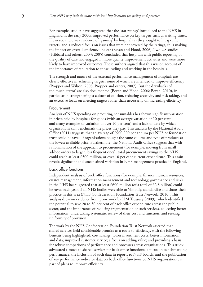For example, studies have suggested that the 'star ratings' introduced to the NHS in England in the early 2000s improved performance on key targets such as waiting times. However, there was evidence of 'gaming' by hospitals as they sought to hit specific targets, and a reduced focus on issues that were not covered by the ratings, thus making the impact on overall efficiency unclear (Bevan and Hood, 2006). Two US studies (Hibbard and others, 2003; 2005) concluded that hospitals with public reporting of the quality of care had engaged in more quality improvement activities and were more likely to have improved outcomes. These authors argued that this was on account of the importance of reputation to those leading and working in the hospitals.

The strength and nature of the external performance management of hospitals are clearly effective in achieving targets, some of which are intended to improve efficiency (Propper and Wilson, 2003; Propper and others, 2007). But the drawbacks of too much 'terror' are also documented (Bevan and Hood, 2006; Bevan, 2010), in particular in strengthening a culture of caution, reducing creativity and risk taking, and an excessive focus on meeting targets rather than necessarily on increasing efficiency.

#### Procurement

Analysis of NHS spending on procuring consumables has shown significant variation in prices paid by hospitals for goods (with an average variation of 10 per cent and many examples of variation of over 50 per cent) and a lack of data by which organisations can benchmark the prices they pay. This analysis by the National Audit Office (2011) suggests that an average of £900,000 per annum per NHS or foundation trust could be saved if organisations bought the same volume and type of products at the lowest available price. Furthermore, the National Audit Office suggests that with rationalisation of the approach to procurement (for example, moving from small ad-hoc orders to larger, less frequent ones), total procurement savings to the NHS could reach at least £500 million, or over 10 per cent current expenditure. This again reveals significant and unexplained variation in NHS management practice in England.

## Back office functions

Independent analysis of back office functions (for example, finance, human resources, estates management, information management and technology, governance and risk) in the NHS has suggested that at least  $£600$  million (of a total of  $£2.8$  billion) could be saved each year, if all NHS bodies were able to 'simplify, standardise and share' their practice in this area (NHS Confederation Foundation Trust Network, 2010). This analysis drew on evidence from prior work by HM Treasury (2009), which identified the potential to save 20 to 30 per cent of back office expenditure across the public sector, and the importance of reducing fragmentation of such services, collecting better information, undertaking systematic review of their cost and function, and seeking uniformity of provision.

The work by the NHS Confederation Foundation Trust Network asserted that shared services held considerable promise as a route to efficiency, with the following benefits being highlighted: cost savings; lower investment costs; better information and data; improved customer service; a focus on adding value; and providing a basis for robust comparisons of performance and processes across organisations. This study advocated a move to shared services for back office functions, a focus on benchmarking performance, the inclusion of such data in reports to NHS boards, and the publication of key performance indicator data on back office functions by NHS organisations, as part of plans to improve efficiency.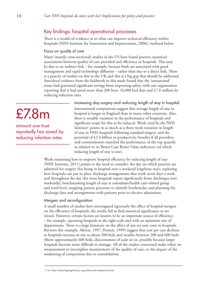# Key findings: hospital operational processes

There is a wealth of evidence as to what can improve technical efficiency within hospitals (NHS Institute for Innovation and Improvement, 2006), outlined below.

## Focus on quality of care

Many (mainly cross-sectional) studies in the US have found positive statistical associations between quality of care provided and efficiency in hospitals. This may be due to an indirect link – for example, because both are associated with good management and rapid technology diffusion – rather than due to a direct link. There is a paucity of studies on this in the UK and this is a big gap that should be addressed. Anecdotal evidence from the fieldwork in this study found that the 'turnaround' trusts had generated significant savings from improving safety, with one organisation reporting that it had saved more than 200 lives, 16,000 bed days and £7.8 million by reducing infection rates.

£7.8m

amount one trust reportedly has saved by reducing infection rates

Increasing day surgery and reducing length of stay in hospital International comparisons suggest that average length of stay in hospital is longer in England than in many other countries. Also, there is notable variation in the performance of hospitals and significant scope for this to be reduced. Work cited by the NHS Institute<sup>1</sup> points to as much as a three-week variation in length of stay in NHS hospitals following standard surgery, and the potential of £2.4 billion in productivity benefits if all providers and commissioners matched the performance of the top quartile in relation to its Better Care Better Value indicators (of which reducing length of stay is one).

Work examining how to improve hospital efficiency by reducing length of stay (NHS Institute, 2011) points to the need to consider: the day on which patients are admitted for surgery (for being in hospital over a weekend lengthens stay); exploring how hospitals can put in place discharge arrangements that work seven days a week and throughout the day (for most hospitals report significantly fewer discharges over weekends); benchmarking length of stay at consultant/health care-related group and ward level; mapping patient processes to identify bottlenecks; and planning the discharge date and arrangements with patients prior to elective admissions.

# Mergers and reconfiguration

A small number of studies have investigated rigorously the effect of hospital mergers on the efficiency of hospitals: the results fail to find statistical significance or are mixed. However, certain factors are known to be an important source of efficiency – for example, operating hospitals at the right scale and with an optimum mix of departments. There is a large literature on the effect of size on unit costs in hospitals. Reviews (for example, Aletras, 1997; Posnett, 1999) suggest that cost per case declines as hospitals increase in size to about 200 beds and steadies between 200 and 600 beds. Above approximately 600 beds, diseconomies of scale set in, possibly because larger hospitals become more difficult to manage. All of the studies concerned make either no measurement or incomplete measurement of the quality of care, or the impact of the weakening of competition due to consolidation.

<sup>1.</sup> See http://reducinglengthofstay.org.uk/latestdevelopments.html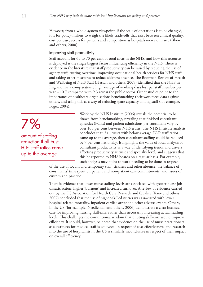However, from a whole-system viewpoint, if the scale of operations is to be changed, it is for policy-makers to weigh the likely trade-offs that exist between clinical quality, cost per case, access for patients and competition as hospitals increase in size (Bloor and others, 2000).

## Improving staff productivity

Staff account for 65 to 70 per cent of total costs in the NHS, and how this resource is deployed is the single biggest factor influencing efficiency in the NHS. There is evidence in the literature that staff productivity can be raised by reducing the use of agency staff, cutting overtime, improving occupational health services for NHS staff and taking other measures to reduce sickness absence. The Boorman Review of Health and Wellbeing of NHS Staff (Hassan and others, 2009) identified that the NHS in England has a comparatively high average of working days lost per staff member per year – 10.7 compared with 9.3 across the public sector. Other studies point to the importance of healthcare organisations benchmarking their workforce data against others, and using this as a way of reducing spare capacity among staff (for example, Fogel, 2004).

7% amount of staffing reduction if all trust FCE: staff ratios came up to the average

Work by the NHS Institute (2006) reveals the potential to be drawn from benchmarking, revealing that finished consultant episodes (FCEs) and patient admissions per consultant vary by over 100 per cent between NHS trusts. The NHS Institute analysis concludes that if all trusts with below-average FCE: staff ratios came up to the average, then consultant staffing could be reduced by 7 per cent nationally. It highlights the value of local analysis of consultant productivity as a way of identifying trends and drivers affecting productivity at trust and specialty level, and suggests that this be reported to NHS boards on a regular basis. For example, such analysis may point to work needing to be done in respect

of the use of locum and temporary staff, sickness and other absence, the balance of consultants' time spent on patient and non-patient care commitments, and issues of custom and practice.

There is evidence that lower nurse staffing levels are associated with greater nurse job dissatisfaction, higher 'burnout' and increased turnover. A review of evidence carried out by the US Association for Health Care Research and Quality (Kane and others, 2007) concluded that the use of higher-skilled nurses was associated with lower hospital-related mortality, inpatient cardiac arrest and other adverse events. Others, in the US (for example, Needleman and others, 2006) demonstrate a clear business case for improving nursing skill-mix, rather than necessarily increasing actual staffing levels. This challenges the conventional wisdom that diluting skill-mix would improve efficiency. It should, however, be noted that evidence on the use of nurse practitioners as substitutes for medical staff is equivocal in respect of cost-effectiveness, and research into the use of hospitalists in the US is similarly inconclusive in respect of their impact on overall efficiency.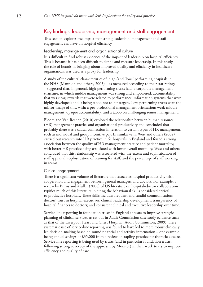# Key findings: leadership, management and staff engagement

This section explores the impact that strong leadership, management and staff engagement can have on hospital efficiency.

## Leadership, management and organisational culture

It is difficult to find robust evidence of the impact of leadership on hospital efficiency. This is because it has been difficult to define and measure leadership. In this study, the role of boards in bringing about improved quality and efficiency in healthcare organisations was used as a proxy for leadership.

A study of the cultural characteristics of 'high-'and 'low-' performing hospitals in the NHS (Mannion and others, 2005) – as measured according to their star ratings – suggested that, in general, high-performing trusts had: a corporate management structure, in which middle management was strong and empowered; accountability that was clear; rewards that were related to performance; information systems that were highly developed; and it being taboo not to hit targets. Low-performing trusts were the mirror-image of this, with: a pro-professional management orientation; weak middle management; opaque accountability; and a taboo on challenging senior management.

Bloom and Van Reenen (2010) explored the relationship between human resource (HR) management practice and organisational productivity and concluded that probably there was a causal connection in relation to certain types of HR management, such as individual and group incentive pay. In similar vein, West and others (2002) carried out research into HR practice in 61 hospitals in England and found a strong association between the quality of HR management practice and patient mortality, with better HR practice being associated with lower overall mortality. West and others concluded that this relationship was associated with the extent and sophistication of staff appraisal, sophistication of training for staff, and the percentage of staff working in teams.

## Clinical engagement

There is a significant volume of literature that associates hospital productivity with cooperation and engagement between general managers and doctors. For example, a review by Burns and Muller (2008) of US literature on hospital–doctor collaboration typifies much of this literature in citing the behavioural skills considered critical to productive hospitals. These skills include: frequent and candid communication; doctors' trust in hospital executives; clinical leadership development; transparency of hospital finances to doctors; and consistent clinical and executive leadership over time.

Service-line reporting in foundation trusts in England appears to improve strategic planning of clinical services, as set out in Audit Commission case study evidence such as that of the Liverpool Heart and Chest Hospital (Audit Commission, 2009). Here systematic use of service-line reporting was found to have led to more robust clinically led decision-making based on sound financial and activity information – one example being annual savings of £35,000 from a review of stapling practice for thoracic closure. Service-line reporting is being used by trusts (and in particular foundation trusts, following strong advocacy of the approach by Monitor) in their work to try to improve efficiency and quality of care.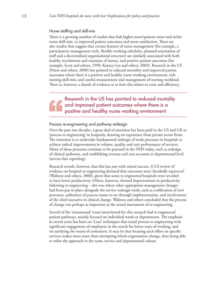#### Nurse staffing and skill-mix

There is a growing number of studies that link higher nurse/patient ratios and richer nurse skill-mix, to improved patient outcomes and nurse satisfaction. There are also studies that suggest that certain features of nurse management (for example, a participatory management style, flexible working schedules, planned orientation of staff and a decentralised organisational structure) are similarly associated with both healthy recruitment and retention of nurses, and positive patient outcomes (for example, Scott and others, 1999; Kutney-Lee and others, 2009). Research in the US (Friese and others, 2008) has pointed to reduced mortality and improved patient outcomes where there is a positive and healthy nurse working environment, rich nursing skill-mix, and careful measurement and management of nursing workload. There is, however, a dearth of evidence as to how this relates to costs and efficiency.

# Research in the US has pointed to reduced mortality and improved patient outcomes where there is a positive and healthy nurse working environment

## Process re-engineering and pathway redesign

Over the past two decades, a great deal of attention has been paid in the US and UK to 'process re-engineering' in hospitals, drawing on experience from private sector firms. The intention is to undertake fundamental redesign of work processes in hospitals to achieve radical improvements in volume, quality and cost performance of services. Many of these processes continue to be pursued in the NHS today, such as redesign of clinical pathways, and establishing revenue and cost accounts at departmental level (service-line reporting).

Research reveals, however, that this has met with mixed success. A US review of evidence on hospital re-engineering declared that outcomes were 'decidedly equivocal' (Walston and others, 2000), given that some re-engineered hospitals were revealed to have lower productivity. Others, however, showed improvements in productivity following re-engineering – this was where other appropriate management changes had been put in place alongside the service redesign work, such as codification of new processes, utilisation of process teams to see through implementation, and involvement of the chief executive in clinical change. Walston and others concluded that the process of change was perhaps as important as the actual instrument of re-engineering.

Several of the 'turnaround' trusts interviewed for this research had re-engineered patient pathways, mainly focused on individual wards or departments. The emphasis in recent years has been on 'Lean' techniques that entail process re-engineering with significant engagement of employees in the search for better ways of working, and on satisfying the wants of consumers. It may be that focusing such effort on specific services makes more sense than attempting whole-organisation change, thus being able to tailor the approach to the team, service and departmental culture.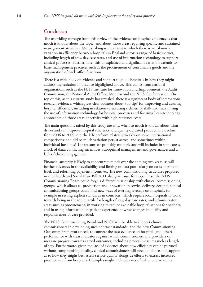# Conclusion

The overriding message from this review of the evidence on hospital efficiency is that much is known about the topic, and about those areas requiring specific and sustained management attention. Most striking is the extent to which there is well-known variation in efficiency between hospitals in England across a range of basic metrics, including length of stay, day case rates, and use of information technology to support clinical processes. Furthermore, this unexplained and significant variation extends to basic management practices such as the procurement of consumable goods and the organisation of back office functions.

There is a wide body of evidence and support to guide hospitals in how they might address the variation in practice highlighted above. This comes from national organisations such as the NHS Institute for Innovation and Improvement, the Audit Commission, the National Audit Office, Monitor and the NHS Confederation. On top of this, as this current study has revealed, there is a significant body of international research evidence, which gives clear pointers about 'top tips' for improving and assuring hospital efficiency, including in relation to ensuring richness of skill-mix, maximising the use of information technology for hospital processes and focusing Lean technology approaches on those areas of activity with high reference costs.

The main questions raised by this study are why, when so much is known about what drives and can improve hospital efficiency, did quality-adjusted productivity decline from 2006 to 2009; did the UK perform relatively weakly on some international comparisons; and did so much variation persist across, and sometimes within, individual hospitals? The reasons are probably multiple and will include: in some areas a lack of data; conflicting incentives; suboptimal management and governance; and a lack of clinical engagement.

Financial austerity is likely to concentrate minds over the coming two years, as will further advances in the availability and linking of data particularly on costs at patient level, and reforming payment incentives. The new commissioning structures proposed in the Health and Social Care Bill 2011 also give cause for hope. First, the NHS Commissioning Board could forge a different relationship with clinical commissioning groups, which allows co-production and innovation in service delivery. Second, clinical commissioning groups could find new ways of exerting leverage on hospitals, for example in setting explicit standards in contracts, which require local hospitals to work towards being in the top quartile for length of stay, day case rates, and administrative areas such as procurement, in working to reduce avoidable hospitalisations for patients, and in using information on patient experience to wrest changes in quality and responsiveness of care provided.

The NHS Commissioning Board and NICE will be able to support clinical commissioners in developing such contract standards, and the new Commissioning Outcomes Framework needs to connect the best evidence on hospital (and other) performance with clear indicators against which commissioners and providers can measure progress towards agreed outcomes, including process measures such as length of stay. Furthermore, given the lack of evidence about how efficiency can be pursued without compromising quality, clinical commissioners will need guidance and support as to how they might best assess service quality alongside efforts to extract increased productivity from hospitals. Examples might include: rates of infection; measures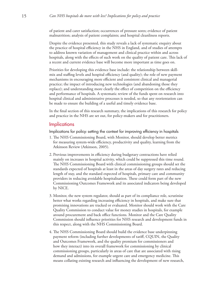of patient and carer satisfaction; occurrences of pressure sores; evidence of patient malnutrition; analysis of patient complaints; and hospital cleanliness reports.

Despite the evidence presented, this study reveals a lack of systematic enquiry about the practice of hospital efficiency in the NHS in England, and of studies of attempts to address known variation of management and clinical practice within and across hospitals, along with the effects of such work on the quality of patient care. This lack of a recent and current evidence base will become more important as time goes on.

Priorities for developing this evidence base include: the relationship between skillmix and staffing levels and hospital efficiency (and quality); the role of new payment mechanisms in encouraging more efficient and consistent clinical and managerial practice; the impact of introducing new technologies (and abandoning those they replace); and understanding more clearly the effect of competition on the efficiency and performance of hospitals. A systematic review of the funds spent on research into hospital clinical and administrative processes is needed, so that any reorientation can be made to ensure the building of a useful and timely evidence base.

In the final section of this research summary, the implications of this research for policy and practice in the NHS are set out, for policy-makers and for practitioners.

# **Implications**

Implications for policy: setting the context for improving efficiency in hospitals

- 1. The NHS Commissioning Board, with Monitor, should develop better metrics for measuring system-wide efficiency, productivity and quality, learning from the Atkinson Review (Atkinson, 2005).
- 2. Previous improvements in efficiency during budgetary contractions have relied mainly on increases in hospital activity, which could be suppressed this time round. The NHS Commissioning Board with clinical commissioning groups should set the standards expected of hospitals at least in the areas of day surgery rates and reducing length of stay, and the standard expected of hospitals, primary care and community providers in reducing avoidable hospitalisation. These could form part of the new Commissioning Outcomes Framework and its associated indicators being developed by NICE.
- 3. Monitor, the new system regulator, should as part of its compliance role, scrutinise better what works regarding increasing efficiency in hospitals, and make sure that promising innovations are tracked or evaluated. Monitor should work with the Care Quality Commission to conduct value for money studies in hospitals, for example around procurement and back office functions. Monitor and the Care Quality Commission should influence priorities for NHS research and development funds in this respect, along with the NHS Commissioning Board.
- 4. The NHS Commissioning Board should build the evidence base underpinning payment reform (including further developments of tariff, CQUIN, the Quality and Outcomes Framework, and the quality premium for commissioners and how they interact) into its overall framework for commissioning by clinical commissioning groups, particularly in areas of care that are associated with rising demand and admissions, for example urgent care and emergency medicine. This means collating existing research and influencing the development of new research,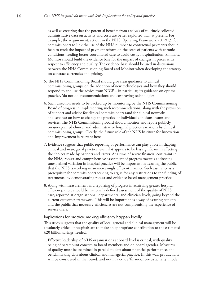as well as ensuring that the potential benefits from analysis of routinely collected administrative data on activity and costs are better exploited than at present. For example, the requirement, set out in the NHS Operating Framework 2012/13, for commissioners to link the use of the NHS number to contractual payments should help to track the impact of payment reform on the costs of patients with chronic conditions needing better-coordinated care to avoid costly hospitalisation. Similarly, Monitor should build the evidence base for the impact of changes in prices with respect to efficiency and quality. The evidence base should be used in discussions between the NHS Commissioning Board and Monitor when developing the strategy on contract currencies and pricing.

- 5. The NHS Commissioning Board should give clear guidance to clinical commissioning groups on the adoption of new technologies and how they should respond to and use the advice from NICE – in particular, its guidance on optimal practice, 'do not do' recommendations and cost-saving technologies.
- 6. Such direction needs to be backed up by monitoring by the NHS Commissioning Board of progress in implementing such recommendations, along with the provision of support and advice for clinical commissioners (and for clinical networks and senates) on how to change the practice of individual clinicians, teams and services. The NHS Commissioning Board should monitor and report publicly on unexplained clinical and administrative hospital practice variations by clinical commissioning groups. Clearly, the future role of the NHS Institute for Innovation and Improvement is relevant here.
- 7. Evidence suggests that public reporting of performance can play a role in shaping clinical and managerial practice, even if it appears to be less significant in affecting the choices made by patients and carers. At a time of severe financial constraint in the NHS, robust and comprehensive assessment of progress towards addressing unexplained variation in hospital practice will be important in assuring the public that the NHS is working in an increasingly efficient manner. Such assurance is a prerequisite for commissioners seeking to argue for any restrictions to the funding of treatments, by demonstrating robust and evidence-based management practice.
- 8. Along with measurement and reporting of progress in achieving greater hospital efficiency, there should be nationally defined assessment of the quality of NHS care, reported at organisational, departmental and clinician levels, going beyond the current outcomes framework. This will be important as a way of assuring patients and the public that necessary efficiencies are not compromising the experience of service users.

## Implications for practice: making efficiency happen locally

This study suggests that the quality of local general and clinical management will be absolutely critical if hospitals are to make an appropriate contribution to the estimated £20 billion savings needed.

1. Effective leadership of NHS organisations at board level is critical, with quality being of paramount concern to board members and on board agendas. Measures of quality must be examined in parallel to data about financial performance, and benchmarking data about clinical and managerial practice. In this way, productivity will be considered in the round, and not in a crude 'financial versus activity' mode.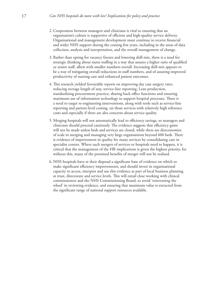- 2. Cooperation between managers and clinicians is vital to ensuring that an organisation's culture is supportive of efficient and high-quality service delivery. Organisational and management development must continue to receive financial and wider NHS support during the coming few years, including in the areas of data collection, analysis and interpretation, and the overall management of change.
- 3. Rather than opting for vacancy freezes and lowering skill-mix, there is a need for strategic thinking about nurse staffing in a way that assures a higher ratio of qualified or senior staff, albeit with smaller numbers overall. Increasing skill-mix appears to be a way of mitigating overall reductions in staff numbers, and of assuring improved productivity of nursing care and enhanced patient outcomes.
- 4. This research yielded favourable reports on improving day case surgery rates, reducing average length of stay, service-line reporting, Lean production, standardising procurement practice, sharing back office functions and ensuring maximum use of information technology to support hospital processes. There is a need to target re-engineering interventions, along with tools such as service-line reporting and patient-level costing, on those services with relatively high reference costs and especially if there are also concerns about service quality.
- 5. Merging hospitals will not automatically lead to efficiency savings, so managers and clinicians should proceed cautiously. The evidence suggests that efficiency gains will not be made unless beds and services are closed, while there are diseconomies of scale in merging and managing very large organisations beyond 600 beds. There is evidence of improvement in quality for many services by consolidating care in specialist centres. Where such mergers of services or hospitals need to happen, it is critical that the management of the HR implications is given the highest priority, for without this, many of the promised benefits of merger will not be realised.
- 6. NHS hospitals have at their disposal a significant base of evidence on which to make significant efficiency improvements, and should invest in organisational capacity to access, interpret and use this evidence as part of local business planning at trust, directorate and service levels. This will entail close working with clinical commissioners and the NHS Commissioning Board, to avoid 'reinventing the wheel' in reviewing evidence, and ensuring that maximum value is extracted from the significant range of national support resources available.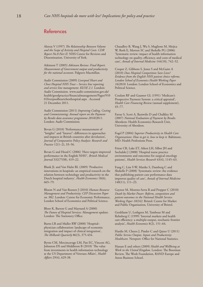# References

Aletras V (1997) *The Relationship Between Volume and the Scope of Activity and Hospital Costs. CDR Report No.8 Part II.* NHS Centre for Reviews and Dissemination, University of York.

Atkinson T (2005) *Atkinson Review: Final Report. Measurement of Government output and productivity for the national accounts*. Palgrave Macmillan.

Audit Commission (2009) *Liverpool Heart and Chest Hospital NHS Trust – Service line reporting and service line management. KLOE 2.1.* London: Audit Commission. www.audit-commission.gov.uk/ health/goodpractice/financialmanagement/Pages/910 01liverpoolheartchesthospital.aspx . Accessed 21 December 2011.

Audit Commission (2011) *Improving Coding, Costing and Commissioning: Annual report on the Payment by Results data assurance programme 2010/2011*. London: Audit Commission.

Bevan G (2010) 'Performance measurement of "knights" and "knaves": differences in approaches and impacts in British countries after devolution', *Journal of Comparative Policy Analysis: Research and Practice* 12(1–2), 33–56.

Bevan G and Hood C (2006) 'Have targets improved performance in the English NHS?', *British Medical Journal* 332(7538), 419–22.

Blank JL and Van Hulst BL (2009) 'Productive innovations in hospitals: an empirical research on the relation between technology and productivity in the Dutch hospital industry', *Health Economics* 18(6), 665–79.

Bloom N and Van Reenen J (2010) *Human Resource Management and Productivity: CEP Discussion Paper no. 982.* London: Centre for Economic Performance, London School of Economics and Political Science.

Bloor K, Barton G and Maynard A (2000) *The Future of Hospital Services: Management updates.*  London: The Stationery Office.

Burns LR and Muller RW (2008) 'Hospital– physician collaboration: landscape of economic integration and impact of clinical integration', *The Milbank Quarterly* 86(3), 375-434.

Byrne CM, Mercincavage LM, Pan EC, Vincent AG, Johnston DS and Middleton B (2010) 'The value from investments in health information technology at the US Department of Veterans Affairs', *Health Affairs* 29(4), 629-38.

Chaudhry B, Wang J, Wu S, Maglione M, Mojica W, Roth E, Morton SC and Shekelle PG (2006) 'Systematic review: impact of health information technology on quality, efficiency, and costs of medical care', *Annals of Internal Medicine* 144(10), 742–52.

Cooper Z, Gibbons S, Jones S and McGuire A (2010) *Does Hospital Competition Save Lives? Evidence from the English NHS patient choice reforms. London School of Economics Health Working Paper 16/2010.* London: London School of Economics and Political Science.

Coulam RF and Gaumer GL (1991) 'Medicare's Prospective Payment System: a critical appraisal', *Health Care Financing Review* (annual supplement), 45–77.

Farrar S, Scott A, Ikenwilo D and Chalkley M (2007) *National Evaluation of Payment by Results*. Aberdeen: Health Economics Research Unit, University of Aberdeen.

Fogel P (2004) *Superior Productivity in Health Care Organisations: How to get it, how to keep it.* Baltimore, MD: Health Professions Press.

Friese CR, Lake ET, Aiken LH, Silber JH and Sochalski J (2008) 'Hospital nurse practice environments and outcomes for surgical oncology patients', *Health Services Research* 43(4), 1145–63.

Fung C, Lim Y-W, Mattke S, Damberg C and Shekelle P (2008) 'Systematic review: the evidence that publishing patient care performance data improves quality of care', *Annals of Internal Medicine* 148(11), 111–23.

Gaynor M, Moreno-Serra R and Propper C (2010) *Death by Market Power: Reform, competition and patient outcomes in the National Health Service. Working Paper 10/242.* Bristol: Centre for Market and Public Organisation, University of Bristol.

Gerdtham U, Lothgren M, Tambour M and Rehnberg C (1999) 'Internal markets and health care efficiency: a multiple-output, stochastic frontier analysis', *Health Economics* 8(2), 151–64.

Hardie M, Cheers J, Pinder C and Qaiser U (2011) *Public Service Output, Inputs and Productivity: Healthcare.* Newport: Office for National Statistics.

Hassan E and others (2009) *Health and Wellbeing at Work in the United Kingdom*. London: The Boorman Review, The Work Foundation, RAND Europe and Aston Business School.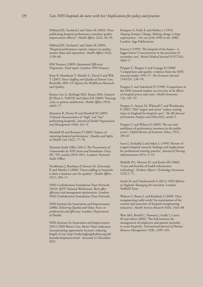Hibbard JH, Stockard J and Tusler M (2003) 'Does publicizing hospital performance stimulate quality improvement efforts?', *Health Affairs* 22(2), 84–94.

Hibbard JH, Stockard J and Tusler M (2005) 'Hospital performance reports: impact on quality, market share and reputation', *Health Affairs* 24(4), 1150–60.

HM Treasury (2009) *Operational Efficiency Programme: Final report.* London: HM Treasury.

Kane R, Shamliyan T, Mueller C, Duval S and Wilt T (2007) *Nurse Staffing and Quality of Patient Care.* Rockville, MD: US Agency for Healthcare Research and Quality.

Kutney-Lee A, McHugh MD, Sloane DM, Cimiotti JP, Flynn L, Neff DF and Aiken LH (2009) 'Nursing: a key to patient satisfaction', *Health Affairs* 29(4), w669–77.

Mannion R, Davies H and Marshall M (2005) 'Cultural characteristics of "high" and "low" performing hospitals', *Journal of Health Organisation and Management* 19(6), 431–9.

Marshall M and Romano P (2005) 'Impact of reporting hospital performance', *Quality and Safety in Health Care* 14(2), 77–78.

National Audit Office (2011) *The Procurement of Consumables by NHS Acute and Foundation Trusts.*  HC 705, session 2010–2011. London: National Audit Office.

Needleman J, Buerhaus P, Stewart M, Zelevinsky K and Mattke S (2006) 'Nurse staffing in hospitals: is there a business case for quality?', *Health Affairs* 25(1), 204–11.

NHS Confederation Foundation Trust Network (2010) *QIPP National Workstream: Back office efficiency and management optimisation*. London: NHS Confederation Foundation Trust Network.

NHS Institute for Innovation and Improvement (2006) *Delivering Quality and Value: Focus on productivity and efficiency.* London: Department of Health.

NHS Institute for Innovation and Improvement (2011) NHS Better Care, Better Value Indicators (incorporating opportunity locator): reducing length of stay. http://reducinglengthofstay.org.uk/ latestdevelopments.html . Accessed 21 December 2011.

Pettigrew A, Ferlie E and McKee L (1992) *Shaping Strategic Change: Making change in large organisations – the case of the NHS in the 1980s.* London: Sage Publications.

Posnett J (1999) 'The hospital of the future – is bigger better? Concentration in the provision of secondary care', *British Medical Journal* 319(7216), 1063–5.

Propper C, Burgess S and Gossage D (2008) 'Competition and quality: evidence from the NHS internal market 1991–9', *The Economic Journal* 118(525), 138–70.

Propper C and Soderlund N (1998) 'Competition in the NHS internal market: an overview of its effects on hospital prices and costs', *Health Economics* 7(3), 187–97.

Propper C, Sutton M, Whitnall C and Windmeijer F (2007) 'Did "targets and terror" reduce waiting times in England for hospital care?', *The BE Journal of Economic Analysis and Policy* 8(2), article 5.

Propper C and Wilson D (2003) 'The use and usefulness of performance measures in the public sector', *Oxford Review of Economic Policy*, 19(2), 250–67.

Scott J, Sochalski J and Aiken L (1999) 'Review of magnet hospital research: findings and implications for professional nursing practice', *Journal of Nursing Administration* 29(1), 9–19.

Shekelle PG, Morton SC and Keeler EB (2006) 'Costs and benefits of health information technology', *Evidence Report / Technology Assessment,*  $(132), 1 - 71.$ 

Smith JA and Charlesworth A (2011) *NHS Reforms in England: Managing the transition.* London: Nuffield Trust.

Walston S, Burns L and Kimberly J (2000) 'Does reengineering really work? An examination of the context and outcomes of hospital reengineering initiatives', *Health Services Research* 34(6), 1363–88.

West MA, Borrill C, Dawson J, Scully J, Carter M and others (2002) 'The link between the management of employees and patient mortality in acute hospitals', *International Journal of Human Resource Management* 13(8), 1299–310.